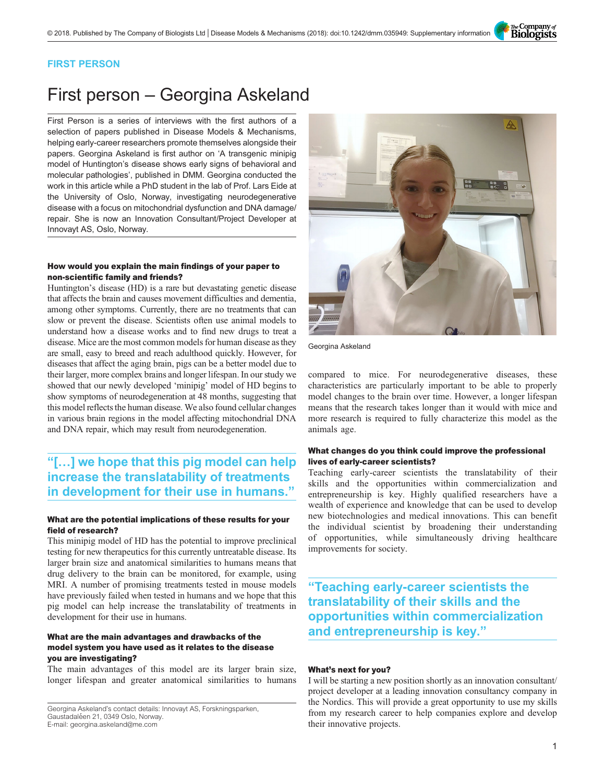The Company of<br>**Biologists** 

### FIRST PERSON

# First person – Georgina Askeland

First Person is a series of interviews with the first authors of a selection of papers published in Disease Models & Mechanisms, helping early-career researchers promote themselves alongside their papers. Georgina Askeland is first author on '[A transgenic minipig](#page-1-0) model of Huntington'[s disease shows early signs of behavioral and](#page-1-0) [molecular pathologies](#page-1-0)', published in DMM. Georgina conducted the work in this article while a PhD student in the lab of Prof. Lars Eide at the University of Oslo, Norway, investigating neurodegenerative disease with a focus on mitochondrial dysfunction and DNA damage/ repair. She is now an Innovation Consultant/Project Developer at Innovayt AS, Oslo, Norway.

#### How would you explain the main findings of your paper to non-scientific family and friends?

Huntington's disease (HD) is a rare but devastating genetic disease that affects the brain and causes movement difficulties and dementia, among other symptoms. Currently, there are no treatments that can slow or prevent the disease. Scientists often use animal models to understand how a disease works and to find new drugs to treat a disease. Mice are the most common models for human disease as they are small, easy to breed and reach adulthood quickly. However, for diseases that affect the aging brain, pigs can be a better model due to their larger, more complex brains and longer lifespan. In our study we showed that our newly developed 'minipig' model of HD begins to show symptoms of neurodegeneration at 48 months, suggesting that this model reflects the human disease. We also found cellular changes in various brain regions in the model affecting mitochondrial DNA and DNA repair, which may result from neurodegeneration.

## "[…] we hope that this pig model can help increase the translatability of treatments in development for their use in humans."

#### What are the potential implications of these results for your field of research?

This minipig model of HD has the potential to improve preclinical testing for new therapeutics for this currently untreatable disease. Its larger brain size and anatomical similarities to humans means that drug delivery to the brain can be monitored, for example, using MRI. A number of promising treatments tested in mouse models have previously failed when tested in humans and we hope that this pig model can help increase the translatability of treatments in development for their use in humans.

#### What are the main advantages and drawbacks of the model system you have used as it relates to the disease you are investigating?

The main advantages of this model are its larger brain size, longer lifespan and greater anatomical similarities to humans

Georgina Askeland's contact details: Innovayt AS, Forskningsparken, Gaustadaléen 21, 0349 Oslo, Norway. E-mail: [georgina.askeland@me.com](mailto:georgina.askeland@me.com)



Georgina Askeland

compared to mice. For neurodegenerative diseases, these characteristics are particularly important to be able to properly model changes to the brain over time. However, a longer lifespan means that the research takes longer than it would with mice and more research is required to fully characterize this model as the animals age.

#### What changes do you think could improve the professional lives of early-career scientists?

Teaching early-career scientists the translatability of their skills and the opportunities within commercialization and entrepreneurship is key. Highly qualified researchers have a wealth of experience and knowledge that can be used to develop new biotechnologies and medical innovations. This can benefit the individual scientist by broadening their understanding of opportunities, while simultaneously driving healthcare improvements for society.

"Teaching early-career scientists the translatability of their skills and the opportunities within commercialization and entrepreneurship is key."

#### What's next for you?

I will be starting a new position shortly as an innovation consultant/ project developer at a leading innovation consultancy company in the Nordics. This will provide a great opportunity to use my skills from my research career to help companies explore and develop their innovative projects.